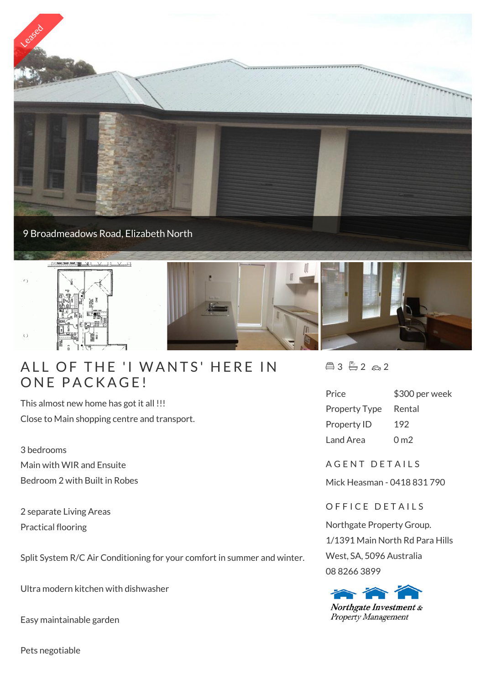

## ALL OF THE 'I WA<br>ONE PACKAGE!

This almost new home has got it all !!! Close to Main shopping centre and transport.

3 bedrooms Main with WIR and Ensuite Bedroom 2 with Built in Robes

2 separate Living Areas Practical flooring

Split System R/C Air Conditioning for your comfort in summer and winter.

Ultra modern kitchen with dishwasher

Easy maintainable garden

Pets negotiable

 $43 - 2 2 2$ 

| Price                | \$300 per week  |
|----------------------|-----------------|
| <b>Property Type</b> | Rental          |
| <b>Property ID</b>   | 192             |
| Land Area            | 0 <sub>m2</sub> |

A G E N T D E T A I L S

Mick Heasman - 0418 831 790

OFFICE DETAILS

Northgate Property Group. 1/1391 Main North Rd Para Hills West, SA, 5096 Australia 08 8266 3899